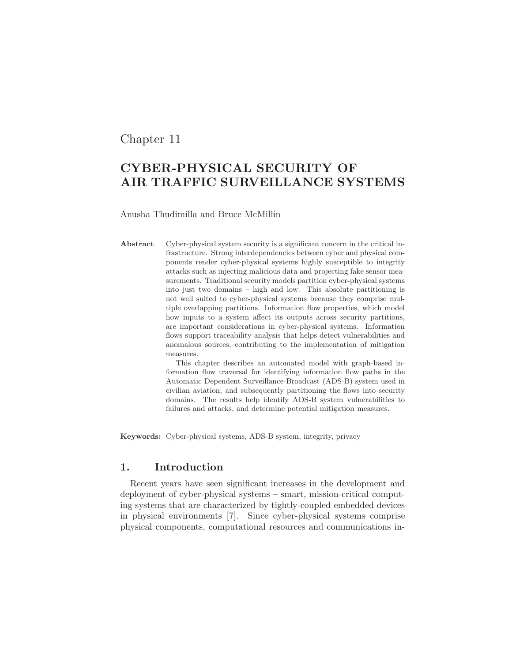# Chapter 11

# **CYBER-PHYSICAL SECURITY OF AIR TRAFFIC SURVEILLANCE SYSTEMS**

Anusha Thudimilla and Bruce McMillin

**Abstract** Cyber-physical system security is a significant concern in the critical infrastructure. Strong interdependencies between cyber and physical components render cyber-physical systems highly susceptible to integrity attacks such as injecting malicious data and projecting fake sensor measurements. Traditional security models partition cyber-physical systems into just two domains – high and low. This absolute partitioning is not well suited to cyber-physical systems because they comprise multiple overlapping partitions. Information flow properties, which model how inputs to a system affect its outputs across security partitions, are important considerations in cyber-physical systems. Information flows support traceability analysis that helps detect vulnerabilities and anomalous sources, contributing to the implementation of mitigation measures.

> This chapter describes an automated model with graph-based information flow traversal for identifying information flow paths in the Automatic Dependent Surveillance-Broadcast (ADS-B) system used in civilian aviation, and subsequently partitioning the flows into security domains. The results help identify ADS-B system vulnerabilities to failures and attacks, and determine potential mitigation measures.

**Keywords:** Cyber-physical systems, ADS-B system, integrity, privacy

### **1. Introduction**

Recent years have seen significant increases in the development and deployment of cyber-physical systems – smart, mission-critical computing systems that are characterized by tightly-coupled embedded devices in physical environments [7]. Since cyber-physical systems comprise physical components, computational resources and communications in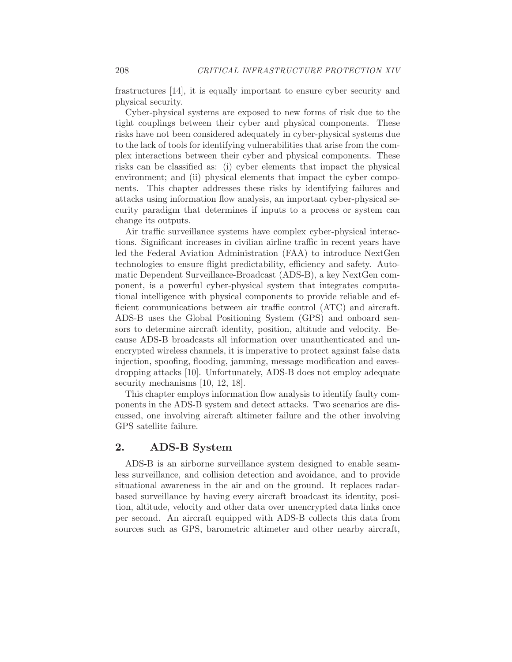frastructures [14], it is equally important to ensure cyber security and physical security.

Cyber-physical systems are exposed to new forms of risk due to the tight couplings between their cyber and physical components. These risks have not been considered adequately in cyber-physical systems due to the lack of tools for identifying vulnerabilities that arise from the complex interactions between their cyber and physical components. These risks can be classified as: (i) cyber elements that impact the physical environment; and (ii) physical elements that impact the cyber components. This chapter addresses these risks by identifying failures and attacks using information flow analysis, an important cyber-physical security paradigm that determines if inputs to a process or system can change its outputs.

Air traffic surveillance systems have complex cyber-physical interactions. Significant increases in civilian airline traffic in recent years have led the Federal Aviation Administration (FAA) to introduce NextGen technologies to ensure flight predictability, efficiency and safety. Automatic Dependent Surveillance-Broadcast (ADS-B), a key NextGen component, is a powerful cyber-physical system that integrates computational intelligence with physical components to provide reliable and efficient communications between air traffic control (ATC) and aircraft. ADS-B uses the Global Positioning System (GPS) and onboard sensors to determine aircraft identity, position, altitude and velocity. Because ADS-B broadcasts all information over unauthenticated and unencrypted wireless channels, it is imperative to protect against false data injection, spoofing, flooding, jamming, message modification and eavesdropping attacks [10]. Unfortunately, ADS-B does not employ adequate security mechanisms [10, 12, 18].

This chapter employs information flow analysis to identify faulty components in the ADS-B system and detect attacks. Two scenarios are discussed, one involving aircraft altimeter failure and the other involving GPS satellite failure.

### **2. ADS-B System**

ADS-B is an airborne surveillance system designed to enable seamless surveillance, and collision detection and avoidance, and to provide situational awareness in the air and on the ground. It replaces radarbased surveillance by having every aircraft broadcast its identity, position, altitude, velocity and other data over unencrypted data links once per second. An aircraft equipped with ADS-B collects this data from sources such as GPS, barometric altimeter and other nearby aircraft,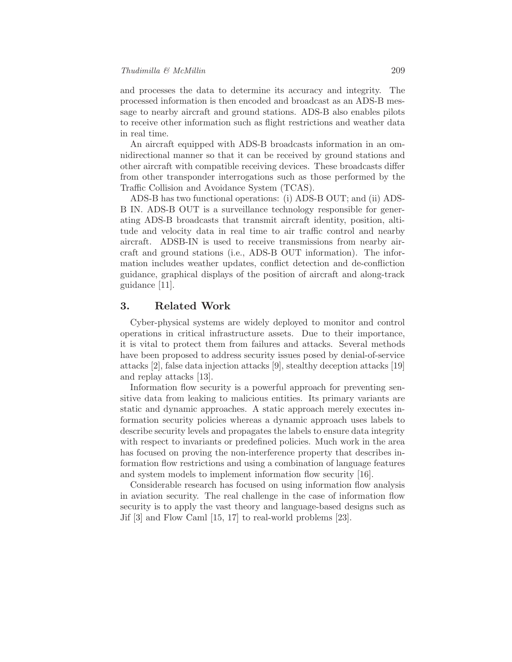and processes the data to determine its accuracy and integrity. The processed information is then encoded and broadcast as an ADS-B message to nearby aircraft and ground stations. ADS-B also enables pilots to receive other information such as flight restrictions and weather data in real time.

An aircraft equipped with ADS-B broadcasts information in an omnidirectional manner so that it can be received by ground stations and other aircraft with compatible receiving devices. These broadcasts differ from other transponder interrogations such as those performed by the Traffic Collision and Avoidance System (TCAS).

ADS-B has two functional operations: (i) ADS-B OUT; and (ii) ADS-B IN. ADS-B OUT is a surveillance technology responsible for generating ADS-B broadcasts that transmit aircraft identity, position, altitude and velocity data in real time to air traffic control and nearby aircraft. ADSB-IN is used to receive transmissions from nearby aircraft and ground stations (i.e., ADS-B OUT information). The information includes weather updates, conflict detection and de-confliction guidance, graphical displays of the position of aircraft and along-track guidance [11].

### **3. Related Work**

Cyber-physical systems are widely deployed to monitor and control operations in critical infrastructure assets. Due to their importance, it is vital to protect them from failures and attacks. Several methods have been proposed to address security issues posed by denial-of-service attacks [2], false data injection attacks [9], stealthy deception attacks [19] and replay attacks [13].

Information flow security is a powerful approach for preventing sensitive data from leaking to malicious entities. Its primary variants are static and dynamic approaches. A static approach merely executes information security policies whereas a dynamic approach uses labels to describe security levels and propagates the labels to ensure data integrity with respect to invariants or predefined policies. Much work in the area has focused on proving the non-interference property that describes information flow restrictions and using a combination of language features and system models to implement information flow security [16].

Considerable research has focused on using information flow analysis in aviation security. The real challenge in the case of information flow security is to apply the vast theory and language-based designs such as Jif [3] and Flow Caml [15, 17] to real-world problems [23].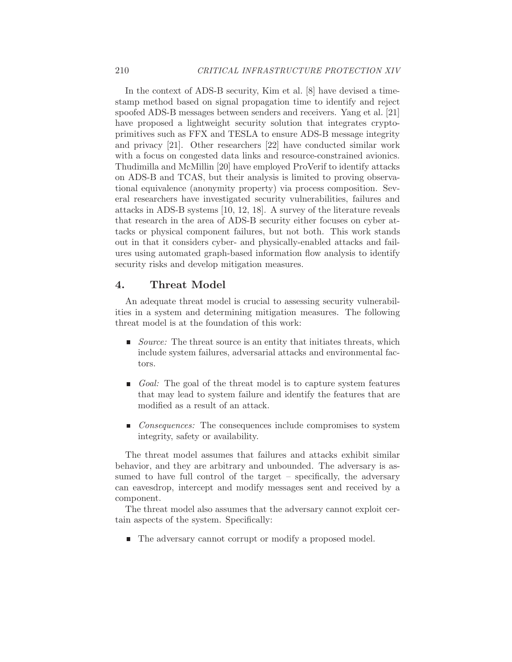In the context of ADS-B security, Kim et al. [8] have devised a timestamp method based on signal propagation time to identify and reject spoofed ADS-B messages between senders and receivers. Yang et al. [21] have proposed a lightweight security solution that integrates cryptoprimitives such as FFX and TESLA to ensure ADS-B message integrity and privacy [21]. Other researchers [22] have conducted similar work with a focus on congested data links and resource-constrained avionics. Thudimilla and McMillin [20] have employed ProVerif to identify attacks on ADS-B and TCAS, but their analysis is limited to proving observational equivalence (anonymity property) via process composition. Several researchers have investigated security vulnerabilities, failures and attacks in ADS-B systems [10, 12, 18]. A survey of the literature reveals that research in the area of ADS-B security either focuses on cyber attacks or physical component failures, but not both. This work stands out in that it considers cyber- and physically-enabled attacks and failures using automated graph-based information flow analysis to identify security risks and develop mitigation measures.

### **4. Threat Model**

An adequate threat model is crucial to assessing security vulnerabilities in a system and determining mitigation measures. The following threat model is at the foundation of this work:

- *Source:* The threat source is an entity that initiates threats, which include system failures, adversarial attacks and environmental factors.
- $\blacksquare$ *Goal:* The goal of the threat model is to capture system features that may lead to system failure and identify the features that are modified as a result of an attack.
- *Consequences:* The consequences include compromises to system integrity, safety or availability.

The threat model assumes that failures and attacks exhibit similar behavior, and they are arbitrary and unbounded. The adversary is assumed to have full control of the target – specifically, the adversary can eavesdrop, intercept and modify messages sent and received by a component.

The threat model also assumes that the adversary cannot exploit certain aspects of the system. Specifically:

■ The adversary cannot corrupt or modify a proposed model.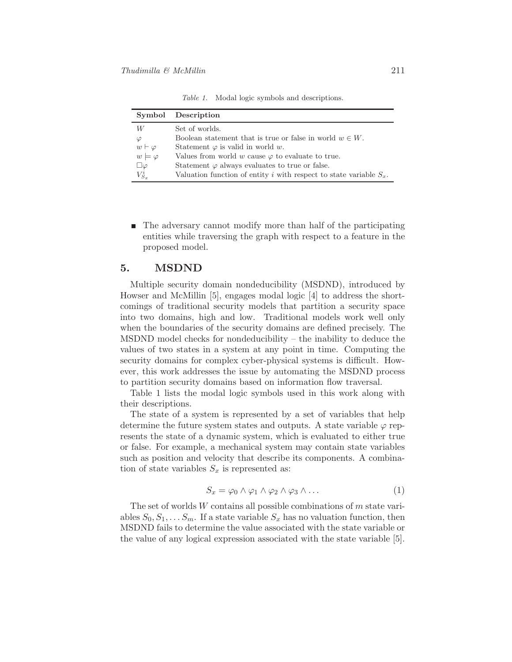|           | Symbol Description                                           |
|-----------|--------------------------------------------------------------|
| W         | Set of worlds.                                               |
| $\varphi$ | Boolean statement that is true or false in world $w \in W$ . |

Values from world w cause  $\varphi$  to evaluate to true.

Statement  $\varphi$  always evaluates to true or false.

 $w \vdash \varphi$  Statement  $\varphi$  is valid in world w.<br>  $w \models \varphi$  Values from world w cause  $\varphi$  to

*Table 1.* Modal logic symbols and descriptions.

■ The adversary cannot modify more than half of the participating entities while traversing the graph with respect to a feature in the proposed model.

Valuation function of entity i with respect to state variable  $S_x$ .

#### **5. MSDND**

 $\Box \varphi$ 

 $V_{S_x}^i$ 

Multiple security domain nondeducibility (MSDND), introduced by Howser and McMillin [5], engages modal logic [4] to address the shortcomings of traditional security models that partition a security space into two domains, high and low. Traditional models work well only when the boundaries of the security domains are defined precisely. The MSDND model checks for nondeducibility – the inability to deduce the values of two states in a system at any point in time. Computing the security domains for complex cyber-physical systems is difficult. However, this work addresses the issue by automating the MSDND process to partition security domains based on information flow traversal.

Table 1 lists the modal logic symbols used in this work along with their descriptions.

The state of a system is represented by a set of variables that help determine the future system states and outputs. A state variable  $\varphi$  represents the state of a dynamic system, which is evaluated to either true or false. For example, a mechanical system may contain state variables such as position and velocity that describe its components. A combination of state variables  $S_x$  is represented as:

$$
S_x = \varphi_0 \wedge \varphi_1 \wedge \varphi_2 \wedge \varphi_3 \wedge \dots \tag{1}
$$

The set of worlds  $W$  contains all possible combinations of  $m$  state variables  $S_0, S_1, \ldots S_m$ . If a state variable  $S_x$  has no valuation function, then MSDND fails to determine the value associated with the state variable or the value of any logical expression associated with the state variable [5].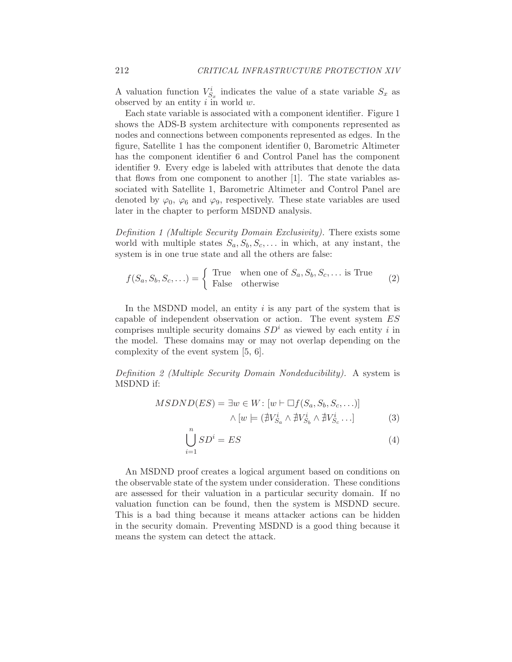A valuation function  $V_{S_x}^i$  indicates the value of a state variable  $S_x$  as observed by an entity *i* in world *w* observed by an entity  $i$  in world  $w$ .

Each state variable is associated with a component identifier. Figure 1 shows the ADS-B system architecture with components represented as nodes and connections between components represented as edges. In the figure, Satellite 1 has the component identifier 0, Barometric Altimeter has the component identifier 6 and Control Panel has the component identifier 9. Every edge is labeled with attributes that denote the data that flows from one component to another [1]. The state variables associated with Satellite 1, Barometric Altimeter and Control Panel are denoted by  $\varphi_0$ ,  $\varphi_6$  and  $\varphi_9$ , respectively. These state variables are used later in the chapter to perform MSDND analysis.

*Definition 1 (Multiple Security Domain Exclusivity).* There exists some world with multiple states  $S_a, S_b, S_c, \ldots$  in which, at any instant, the system is in one true state and all the others are false:

$$
f(S_a, S_b, S_c, \ldots) = \begin{cases} \text{True} & \text{when one of } S_a, S_b, S_c, \ldots \text{ is True} \\ \text{False} & \text{otherwise} \end{cases} \tag{2}
$$

In the MSDND model, an entity  $i$  is any part of the system that is capable of independent observation or action. The event system ES comprises multiple security domains  $SD<sup>i</sup>$  as viewed by each entity i in the model. These domains may or may not overlap depending on the complexity of the event system [5, 6].

*Definition 2 (Multiple Security Domain Nondeducibility).* A system is MSDND if:

$$
MSDND(ES) = \exists w \in W : [w \vdash \Box f(S_a, S_b, S_c, \ldots)]
$$

$$
\wedge [w \models (\nexists V_{S_a}^i \wedge \nexists V_{S_b}^i \wedge \nexists V_{S_c}^i \ldots)]
$$
(3)

$$
\bigcup_{i=1}^{n} SD^{i} = ES \tag{4}
$$

An MSDND proof creates a logical argument based on conditions on the observable state of the system under consideration. These conditions are assessed for their valuation in a particular security domain. If no valuation function can be found, then the system is MSDND secure. This is a bad thing because it means attacker actions can be hidden in the security domain. Preventing MSDND is a good thing because it means the system can detect the attack.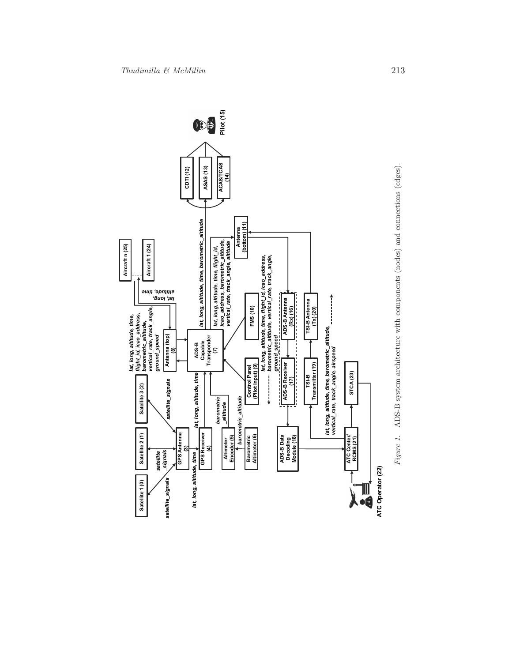

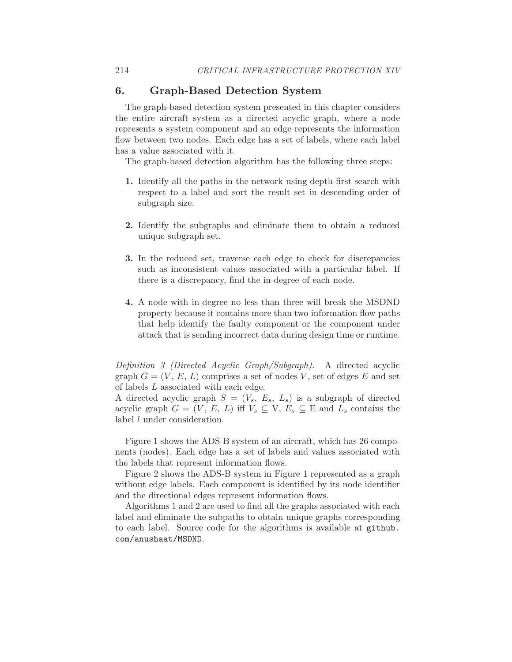### **6. Graph-Based Detection System**

The graph-based detection system presented in this chapter considers the entire aircraft system as a directed acyclic graph, where a node represents a system component and an edge represents the information flow between two nodes. Each edge has a set of labels, where each label has a value associated with it.

The graph-based detection algorithm has the following three steps:

- **1.** Identify all the paths in the network using depth-first search with respect to a label and sort the result set in descending order of subgraph size.
- **2.** Identify the subgraphs and eliminate them to obtain a reduced unique subgraph set.
- **3.** In the reduced set, traverse each edge to check for discrepancies such as inconsistent values associated with a particular label. If there is a discrepancy, find the in-degree of each node.
- **4.** A node with in-degree no less than three will break the MSDND property because it contains more than two information flow paths that help identify the faulty component or the component under attack that is sending incorrect data during design time or runtime.

*Definition 3 (Directed Acyclic Graph/Subgraph).* A directed acyclic graph  $G = (V, E, L)$  comprises a set of nodes V, set of edges E and set of labels L associated with each edge.

A directed acyclic graph  $S = (V_s, E_s, L_s)$  is a subgraph of directed acyclic graph  $G = (V, E, L)$  iff  $V_s \subseteq V, E_s \subseteq E$  and  $L_s$  contains the label l under consideration.

Figure 1 shows the ADS-B system of an aircraft, which has 26 components (nodes). Each edge has a set of labels and values associated with the labels that represent information flows.

Figure 2 shows the ADS-B system in Figure 1 represented as a graph without edge labels. Each component is identified by its node identifier and the directional edges represent information flows.

Algorithms 1 and 2 are used to find all the graphs associated with each label and eliminate the subpaths to obtain unique graphs corresponding to each label. Source code for the algorithms is available at github. com/anushaat/MSDND.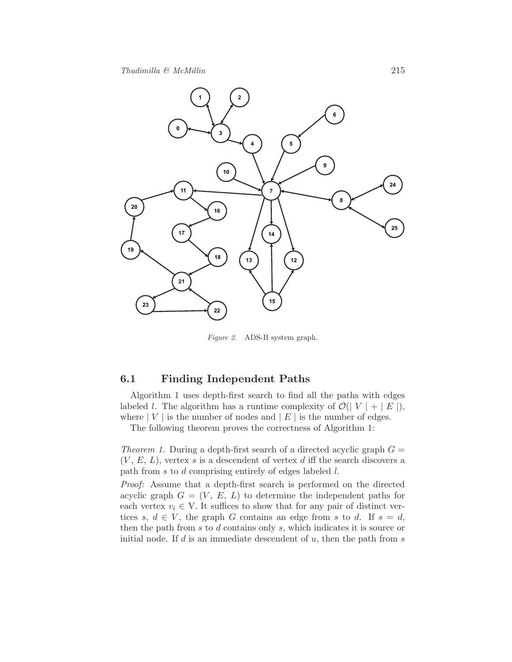

*Figure 2.* ADS-B system graph.

### **6.1 Finding Independent Paths**

Algorithm 1 uses depth-first search to find all the paths with edges labeled l. The algorithm has a runtime complexity of  $\mathcal{O}(|V| + |E|)$ , where  $|V|$  is the number of nodes and  $|E|$  is the number of edges.

The following theorem proves the correctness of Algorithm 1:

*Theorem 1.* During a depth-first search of a directed acyclic graph  $G =$  $(V, E, L)$ , vertex s is a descendent of vertex d iff the search discovers a path from s to d comprising entirely of edges labeled l.

*Proof:* Assume that a depth-first search is performed on the directed acyclic graph  $G = (V, E, L)$  to determine the independent paths for each vertex  $v_i \in V$ . It suffices to show that for any pair of distinct vertices s,  $d \in V$ , the graph G contains an edge from s to d. If  $s = d$ , then the path from s to d contains only s, which indicates it is source or initial node. If  $d$  is an immediate descendent of  $u$ , then the path from  $s$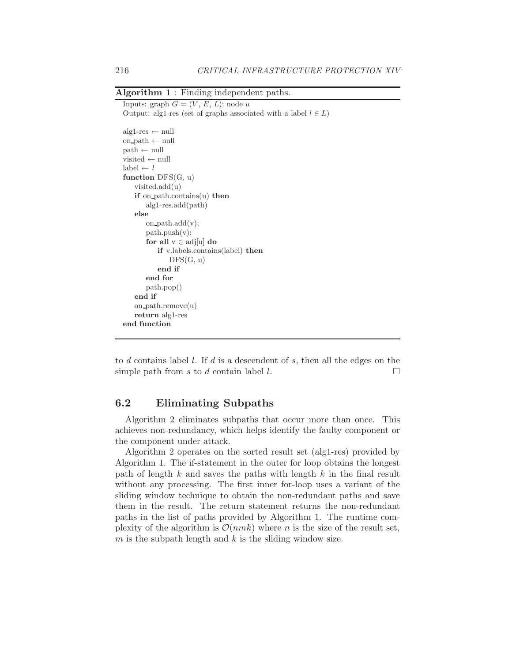**Algorithm 1** : Finding independent paths.

| Inputs: graph $G = (V, E, L)$ ; node u                              |
|---------------------------------------------------------------------|
| Output: alg1-res (set of graphs associated with a label $l \in L$ ) |
|                                                                     |
| $alg1-res \leftarrow null$                                          |
| on path $\leftarrow$ null                                           |
| $path \leftarrow null$                                              |
| visited $\leftarrow$ null                                           |
| label $\leftarrow$ l                                                |
| function $DFS(G, u)$                                                |
| visted.add(u)                                                       |
| if on $path. contains(u)$ then                                      |
| $alg1-res.add(path)$                                                |
| else                                                                |
| on_path.add $(v)$ ;                                                 |
| path.push(v);                                                       |
| for all $v \in adj[u]$ do                                           |
| <b>if</b> v.labels.contains(label) <b>then</b>                      |
| DFS(G, u)                                                           |
| end if                                                              |
| end for                                                             |
| path.pop()                                                          |
| end if                                                              |
| $on$ -path.remove $(u)$                                             |
| return alg1-res                                                     |
| end function                                                        |

to  $d$  contains label  $l$ . If  $d$  is a descendent of  $s$ , then all the edges on the simple path from s to d contain label  $l$ .

## **6.2 Eliminating Subpaths**

Algorithm 2 eliminates subpaths that occur more than once. This achieves non-redundancy, which helps identify the faulty component or the component under attack.

Algorithm 2 operates on the sorted result set (alg1-res) provided by Algorithm 1. The if-statement in the outer for loop obtains the longest path of length k and saves the paths with length k in the final result without any processing. The first inner for-loop uses a variant of the sliding window technique to obtain the non-redundant paths and save them in the result. The return statement returns the non-redundant paths in the list of paths provided by Algorithm 1. The runtime complexity of the algorithm is  $\mathcal{O}(nmk)$  where *n* is the size of the result set,  $m$  is the subpath length and  $k$  is the sliding window size.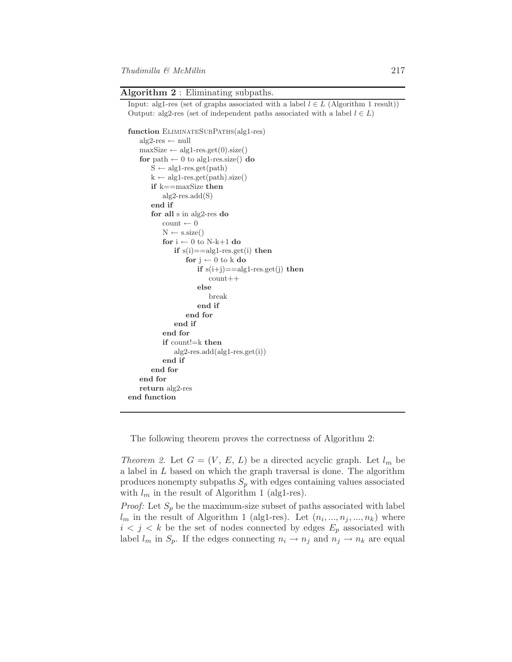### **Algorithm 2** : Eliminating subpaths.

Input: alg1-res (set of graphs associated with a label  $l \in L$  (Algorithm 1 result)) Output: alg2-res (set of independent paths associated with a label  $l \in L$ )

```
function ELIMINATESUBPATHS(alg1-res)
    alg2-res \leftarrow nullmaxSize \leftarrow alg1-res.get(0).size()for path \leftarrow 0 to alg1-res.size() do
       S \leftarrow alg1-res.get(path)k \leftarrow \text{alg1-res.get}(\text{path}).size()if k==maxSize then
            alg2-res.add(S)
       end if
       for all s in alg2-res do
            count \leftarrow 0N \leftarrow s.size()\mathbf{for} \ i \leftarrow 0 \ \text{to} \ N\text{-k+1} \ \mathbf{do}if s(i)==alg1-res.get(i) then
                    for j \leftarrow 0 to k do
                        if s(i+j) = = alg1-res.get(i) then
                             count++
                        else
                             break
                        end if
                    end for
                end if
            end for
            if count!=k then
                alg2-res.add(alg1-res.get(i))
            end if
        end for
    end for
   return alg2-res
end function
```
The following theorem proves the correctness of Algorithm 2:

*Theorem 2.* Let  $G = (V, E, L)$  be a directed acyclic graph. Let  $l_m$  be a label in  $L$  based on which the graph traversal is done. The algorithm produces nonempty subpaths  $S_p$  with edges containing values associated with  $l_m$  in the result of Algorithm 1 (alg1-res).

*Proof:* Let  $S_p$  be the maximum-size subset of paths associated with label  $l_m$  in the result of Algorithm 1 (alg1-res). Let  $(n_i, ..., n_j, ..., n_k)$  where  $i < j < k$  be the set of nodes connected by edges  $E_p$  associated with label  $l_m$  in  $S_p$ . If the edges connecting  $n_i \to n_j$  and  $n_j \to n_k$  are equal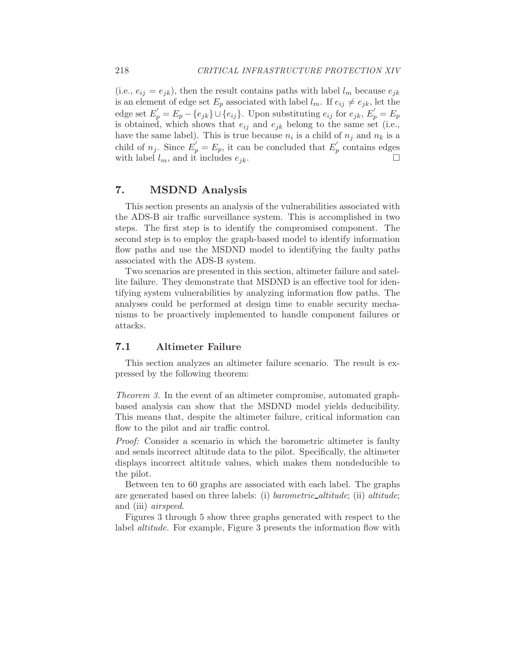(i.e.,  $e_{ij} = e_{jk}$ ), then the result contains paths with label  $l_m$  because  $e_{jk}$ is an element of edge set  $E_p$  associated with label  $l_m$ . If  $e_{ij} \neq e_{jk}$ , let the edge set  $E'_p = E_p - \{e_{jk}\} \cup \{e_{ij}\}\$ . Upon substituting  $e_{ij}$  for  $e_{jk}$ ,  $E'_p = E_p$ <br>is obtained, which shows that  $e_{ij}$  and  $e_{ji}$  belong to the same set (i.e. is obtained, which shows that  $e_{ij}$  and  $e_{jk}$  belong to the same set (i.e., have the same label). This is true because  $n_i$  is a child of  $n_j$  and  $n_k$  is a child of  $n_j$ . Since  $E'_p = E_p$ , it can be concluded that  $E'_p$  contains edges with label  $l_m$ , and it includes  $e_{ik}$ .

### **7. MSDND Analysis**

This section presents an analysis of the vulnerabilities associated with the ADS-B air traffic surveillance system. This is accomplished in two steps. The first step is to identify the compromised component. The second step is to employ the graph-based model to identify information flow paths and use the MSDND model to identifying the faulty paths associated with the ADS-B system.

Two scenarios are presented in this section, altimeter failure and satellite failure. They demonstrate that MSDND is an effective tool for identifying system vulnerabilities by analyzing information flow paths. The analyses could be performed at design time to enable security mechanisms to be proactively implemented to handle component failures or attacks.

#### **7.1 Altimeter Failure**

This section analyzes an altimeter failure scenario. The result is expressed by the following theorem:

*Theorem 3.* In the event of an altimeter compromise, automated graphbased analysis can show that the MSDND model yields deducibility. This means that, despite the altimeter failure, critical information can flow to the pilot and air traffic control.

*Proof:* Consider a scenario in which the barometric altimeter is faulty and sends incorrect altitude data to the pilot. Specifically, the altimeter displays incorrect altitude values, which makes them nondeducible to the pilot.

Between ten to 60 graphs are associated with each label. The graphs are generated based on three labels: (i) *barometric altitude*; (ii) *altitude*; and (iii) *airspeed*.

Figures 3 through 5 show three graphs generated with respect to the label *altitude*. For example, Figure 3 presents the information flow with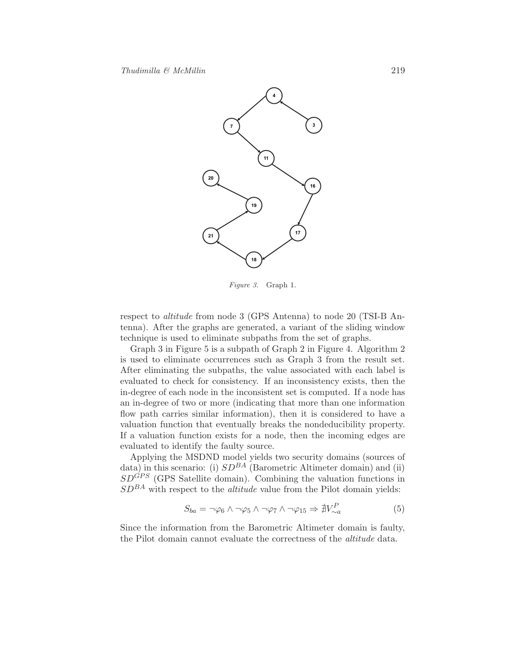

*Figure 3.* Graph 1.

respect to *altitude* from node 3 (GPS Antenna) to node 20 (TSI-B Antenna). After the graphs are generated, a variant of the sliding window technique is used to eliminate subpaths from the set of graphs.

Graph 3 in Figure 5 is a subpath of Graph 2 in Figure 4. Algorithm 2 is used to eliminate occurrences such as Graph 3 from the result set. After eliminating the subpaths, the value associated with each label is evaluated to check for consistency. If an inconsistency exists, then the in-degree of each node in the inconsistent set is computed. If a node has an in-degree of two or more (indicating that more than one information flow path carries similar information), then it is considered to have a valuation function that eventually breaks the nondeducibility property. If a valuation function exists for a node, then the incoming edges are evaluated to identify the faulty source.

Applying the MSDND model yields two security domains (sources of data) in this scenario: (i) SD*BA* (Barometric Altimeter domain) and (ii)  $SD^{GPS}$  (GPS Satellite domain). Combining the valuation functions in SD*BA* with respect to the *altitude* value from the Pilot domain yields:

$$
S_{ba} = \neg \varphi_6 \land \neg \varphi_5 \land \neg \varphi_7 \land \neg \varphi_{15} \Rightarrow \nexists V_{\sim a}^P
$$
 (5)

Since the information from the Barometric Altimeter domain is faulty, the Pilot domain cannot evaluate the correctness of the *altitude* data.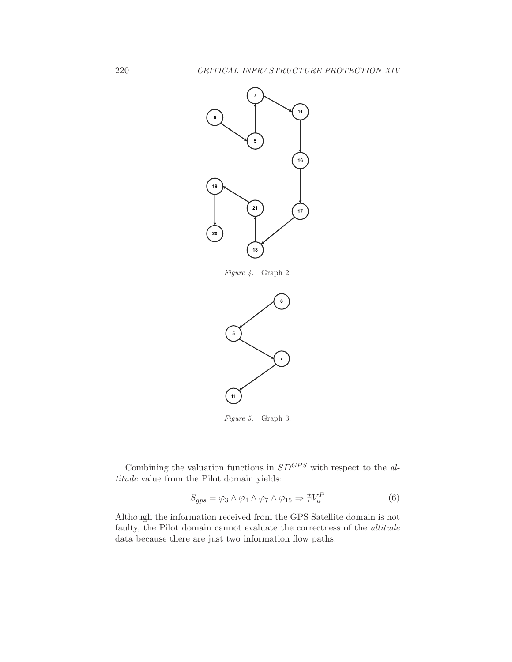

*Figure 4.* Graph 2.



*Figure 5.* Graph 3.

Combining the valuation functions in  $SD^{GPS}$  with respect to the *altitude* value from the Pilot domain yields:

$$
S_{gps} = \varphi_3 \wedge \varphi_4 \wedge \varphi_7 \wedge \varphi_{15} \Rightarrow \nexists V_a^P
$$
 (6)

Although the information received from the GPS Satellite domain is not faulty, the Pilot domain cannot evaluate the correctness of the *altitude* data because there are just two information flow paths.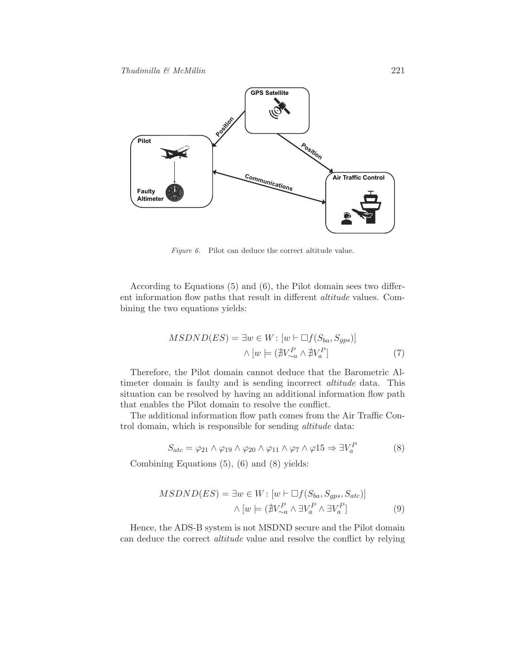

*Figure 6.* Pilot can deduce the correct altitude value.

According to Equations (5) and (6), the Pilot domain sees two different information flow paths that result in different *altitude* values. Combining the two equations yields:

$$
MSDND(ES) = \exists w \in W : [w \vdash \Box f(S_{ba}, S_{gps})]
$$

$$
\wedge [w \models (\nexists V_{\sim a}^P \wedge \nexists V_a^P]
$$
(7)

Therefore, the Pilot domain cannot deduce that the Barometric Altimeter domain is faulty and is sending incorrect *altitude* data. This situation can be resolved by having an additional information flow path that enables the Pilot domain to resolve the conflict.

The additional information flow path comes from the Air Traffic Control domain, which is responsible for sending *altitude* data:

$$
S_{atc} = \varphi_{21} \wedge \varphi_{19} \wedge \varphi_{20} \wedge \varphi_{11} \wedge \varphi_7 \wedge \varphi_7 \wedge \varphi_8 \Rightarrow \exists V_a^P
$$
 (8)

Combining Equations (5), (6) and (8) yields:

$$
MSDND(ES) = \exists w \in W : [w \vdash \Box f(S_{ba}, S_{gps}, S_{abc})]
$$

$$
\wedge [w \models (\nexists V_{\sim a}^{P} \wedge \exists V_{a}^{P} \wedge \exists V_{a}^{P}]
$$
(9)

Hence, the ADS-B system is not MSDND secure and the Pilot domain can deduce the correct *altitude* value and resolve the conflict by relying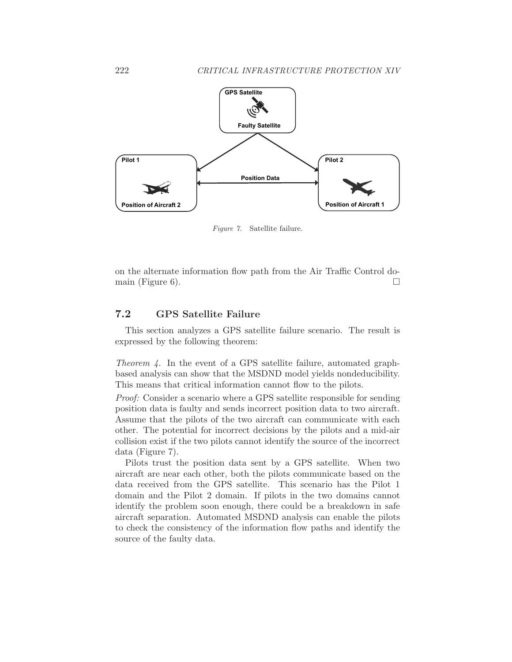

*Figure 7.* Satellite failure.

on the alternate information flow path from the Air Traffic Control domain (Figure  $6$ ).  $\Box$ 

## **7.2 GPS Satellite Failure**

This section analyzes a GPS satellite failure scenario. The result is expressed by the following theorem:

*Theorem 4.* In the event of a GPS satellite failure, automated graphbased analysis can show that the MSDND model yields nondeducibility. This means that critical information cannot flow to the pilots.

*Proof:* Consider a scenario where a GPS satellite responsible for sending position data is faulty and sends incorrect position data to two aircraft. Assume that the pilots of the two aircraft can communicate with each other. The potential for incorrect decisions by the pilots and a mid-air collision exist if the two pilots cannot identify the source of the incorrect data (Figure 7).

Pilots trust the position data sent by a GPS satellite. When two aircraft are near each other, both the pilots communicate based on the data received from the GPS satellite. This scenario has the Pilot 1 domain and the Pilot 2 domain. If pilots in the two domains cannot identify the problem soon enough, there could be a breakdown in safe aircraft separation. Automated MSDND analysis can enable the pilots to check the consistency of the information flow paths and identify the source of the faulty data.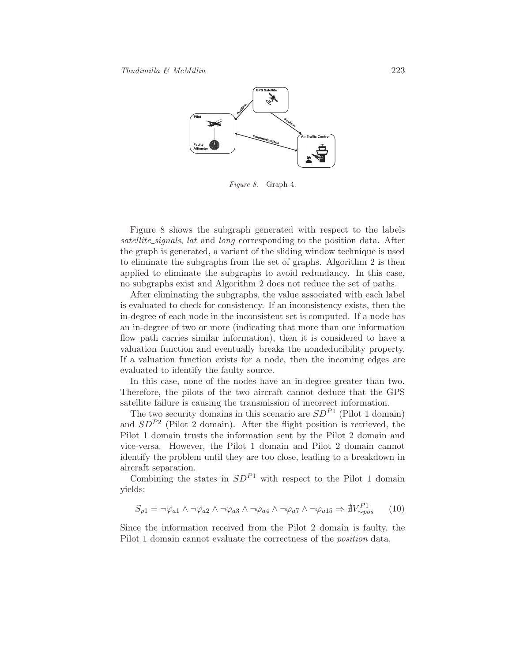

*Figure 8.* Graph 4.

Figure 8 shows the subgraph generated with respect to the labels *satellite signals*, *lat* and *long* corresponding to the position data. After the graph is generated, a variant of the sliding window technique is used to eliminate the subgraphs from the set of graphs. Algorithm 2 is then applied to eliminate the subgraphs to avoid redundancy. In this case, no subgraphs exist and Algorithm 2 does not reduce the set of paths.

After eliminating the subgraphs, the value associated with each label is evaluated to check for consistency. If an inconsistency exists, then the in-degree of each node in the inconsistent set is computed. If a node has an in-degree of two or more (indicating that more than one information flow path carries similar information), then it is considered to have a valuation function and eventually breaks the nondeducibility property. If a valuation function exists for a node, then the incoming edges are evaluated to identify the faulty source.

In this case, none of the nodes have an in-degree greater than two. Therefore, the pilots of the two aircraft cannot deduce that the GPS satellite failure is causing the transmission of incorrect information.

The two security domains in this scenario are  $SD<sup>P1</sup>$  (Pilot 1 domain) and  $SD^{P2}$  (Pilot 2 domain). After the flight position is retrieved, the Pilot 1 domain trusts the information sent by the Pilot 2 domain and vice-versa. However, the Pilot 1 domain and Pilot 2 domain cannot identify the problem until they are too close, leading to a breakdown in aircraft separation.

Combining the states in  $SD^{P1}$  with respect to the Pilot 1 domain yields:

$$
S_{p1} = \neg \varphi_{a1} \land \neg \varphi_{a2} \land \neg \varphi_{a3} \land \neg \varphi_{a4} \land \neg \varphi_{a7} \land \neg \varphi_{a15} \Rightarrow \nexists V^{P1}_{\sim pos} \tag{10}
$$

Since the information received from the Pilot 2 domain is faulty, the Pilot 1 domain cannot evaluate the correctness of the *position* data.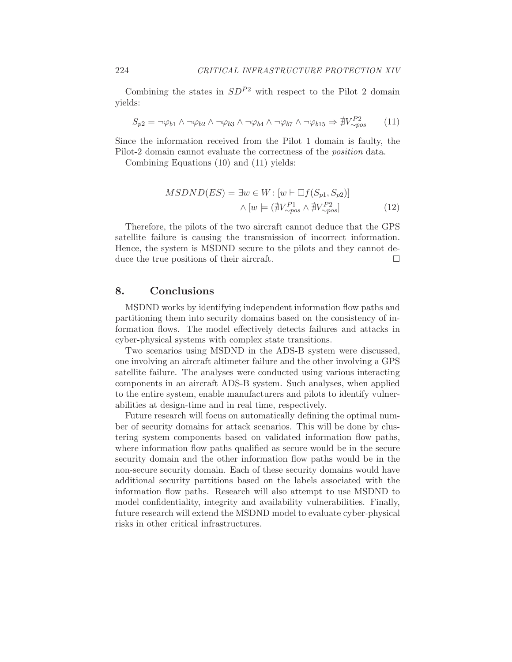Combining the states in  $SD^{P2}$  with respect to the Pilot 2 domain yields:

$$
S_{p2} = \neg \varphi_{b1} \land \neg \varphi_{b2} \land \neg \varphi_{b3} \land \neg \varphi_{b4} \land \neg \varphi_{b7} \land \neg \varphi_{b15} \Rightarrow \nexists V^{P2}_{\sim pos} \tag{11}
$$

Since the information received from the Pilot 1 domain is faulty, the Pilot-2 domain cannot evaluate the correctness of the *position* data.

Combining Equations (10) and (11) yields:

$$
MSDND(ES) = \exists w \in W : [w \vdash \Box f(S_{p1}, S_{p2})]
$$

$$
\wedge [w \models (\nexists V_{\sim pos}^{P1} \wedge \nexists V_{\sim pos}^{P2}]
$$
(12)

Therefore, the pilots of the two aircraft cannot deduce that the GPS satellite failure is causing the transmission of incorrect information. Hence, the system is MSDND secure to the pilots and they cannot deduce the true positions of their aircraft.  $\Box$ 

### **8. Conclusions**

MSDND works by identifying independent information flow paths and partitioning them into security domains based on the consistency of information flows. The model effectively detects failures and attacks in cyber-physical systems with complex state transitions.

Two scenarios using MSDND in the ADS-B system were discussed, one involving an aircraft altimeter failure and the other involving a GPS satellite failure. The analyses were conducted using various interacting components in an aircraft ADS-B system. Such analyses, when applied to the entire system, enable manufacturers and pilots to identify vulnerabilities at design-time and in real time, respectively.

Future research will focus on automatically defining the optimal number of security domains for attack scenarios. This will be done by clustering system components based on validated information flow paths, where information flow paths qualified as secure would be in the secure security domain and the other information flow paths would be in the non-secure security domain. Each of these security domains would have additional security partitions based on the labels associated with the information flow paths. Research will also attempt to use MSDND to model confidentiality, integrity and availability vulnerabilities. Finally, future research will extend the MSDND model to evaluate cyber-physical risks in other critical infrastructures.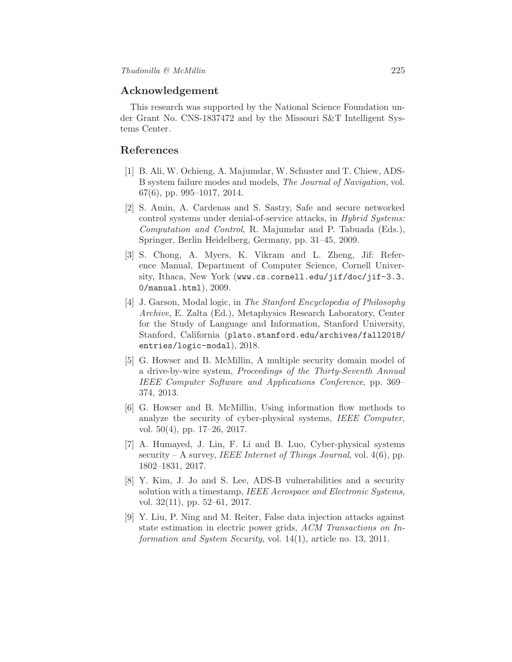### **Acknowledgement**

This research was supported by the National Science Foundation under Grant No. CNS-1837472 and by the Missouri S&T Intelligent Systems Center.

### **References**

- [1] B. Ali, W. Ochieng, A. Majumdar, W. Schuster and T. Chiew, ADS-B system failure modes and models, *The Journal of Navigation*, vol. 67(6), pp. 995–1017, 2014.
- [2] S. Amin, A. Cardenas and S. Sastry, Safe and secure networked control systems under denial-of-service attacks, in *Hybrid Systems: Computation and Control*, R. Majumdar and P. Tabuada (Eds.), Springer, Berlin Heidelberg, Germany, pp. 31–45, 2009.
- [3] S. Chong, A. Myers, K. Vikram and L. Zheng, Jif: Reference Manual, Department of Computer Science, Cornell University, Ithaca, New York (www.cs.cornell.edu/jif/doc/jif-3.3. 0/manual.html), 2009.
- [4] J. Garson, Modal logic, in *The Stanford Encyclopedia of Philosophy Archive*, E. Zalta (Ed.), Metaphysics Research Laboratory, Center for the Study of Language and Information, Stanford University, Stanford, California (plato.stanford.edu/archives/fall2018/ entries/logic-modal), 2018.
- [5] G. Howser and B. McMillin, A multiple security domain model of a drive-by-wire system, *Proceedings of the Thirty-Seventh Annual IEEE Computer Software and Applications Conference*, pp. 369– 374, 2013.
- [6] G. Howser and B. McMillin, Using information flow methods to analyze the security of cyber-physical systems, *IEEE Computer*, vol. 50(4), pp. 17–26, 2017.
- [7] A. Humayed, J. Lin, F. Li and B. Luo, Cyber-physical systems security – A survey, *IEEE Internet of Things Journal*, vol. 4(6), pp. 1802–1831, 2017.
- [8] Y. Kim, J. Jo and S. Lee, ADS-B vulnerabilities and a security solution with a timestamp, *IEEE Aerospace and Electronic Systems*, vol. 32(11), pp. 52–61, 2017.
- [9] Y. Liu, P. Ning and M. Reiter, False data injection attacks against state estimation in electric power grids, *ACM Transactions on Information and System Security*, vol. 14(1), article no. 13, 2011.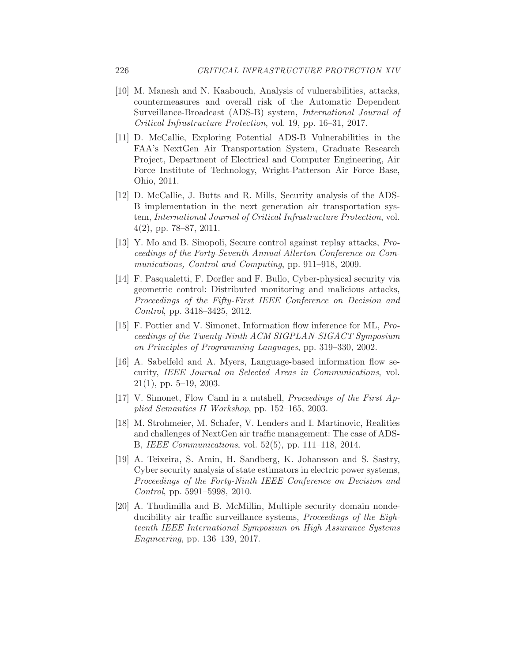- [10] M. Manesh and N. Kaabouch, Analysis of vulnerabilities, attacks, countermeasures and overall risk of the Automatic Dependent Surveillance-Broadcast (ADS-B) system, *International Journal of Critical Infrastructure Protection*, vol. 19, pp. 16–31, 2017.
- [11] D. McCallie, Exploring Potential ADS-B Vulnerabilities in the FAA's NextGen Air Transportation System, Graduate Research Project, Department of Electrical and Computer Engineering, Air Force Institute of Technology, Wright-Patterson Air Force Base, Ohio, 2011.
- [12] D. McCallie, J. Butts and R. Mills, Security analysis of the ADS-B implementation in the next generation air transportation system, *International Journal of Critical Infrastructure Protection*, vol. 4(2), pp. 78–87, 2011.
- [13] Y. Mo and B. Sinopoli, Secure control against replay attacks, *Proceedings of the Forty-Seventh Annual Allerton Conference on Communications, Control and Computing*, pp. 911–918, 2009.
- [14] F. Pasqualetti, F. Dorfler and F. Bullo, Cyber-physical security via geometric control: Distributed monitoring and malicious attacks, *Proceedings of the Fifty-First IEEE Conference on Decision and Control*, pp. 3418–3425, 2012.
- [15] F. Pottier and V. Simonet, Information flow inference for ML, *Proceedings of the Twenty-Ninth ACM SIGPLAN-SIGACT Symposium on Principles of Programming Languages*, pp. 319–330, 2002.
- [16] A. Sabelfeld and A. Myers, Language-based information flow security, *IEEE Journal on Selected Areas in Communications*, vol. 21(1), pp. 5–19, 2003.
- [17] V. Simonet, Flow Caml in a nutshell, *Proceedings of the First Applied Semantics II Workshop*, pp. 152–165, 2003.
- [18] M. Strohmeier, M. Schafer, V. Lenders and I. Martinovic, Realities and challenges of NextGen air traffic management: The case of ADS-B, *IEEE Communications*, vol. 52(5), pp. 111–118, 2014.
- [19] A. Teixeira, S. Amin, H. Sandberg, K. Johansson and S. Sastry, Cyber security analysis of state estimators in electric power systems, *Proceedings of the Forty-Ninth IEEE Conference on Decision and Control*, pp. 5991–5998, 2010.
- [20] A. Thudimilla and B. McMillin, Multiple security domain nondeducibility air traffic surveillance systems, *Proceedings of the Eighteenth IEEE International Symposium on High Assurance Systems Engineering*, pp. 136–139, 2017.